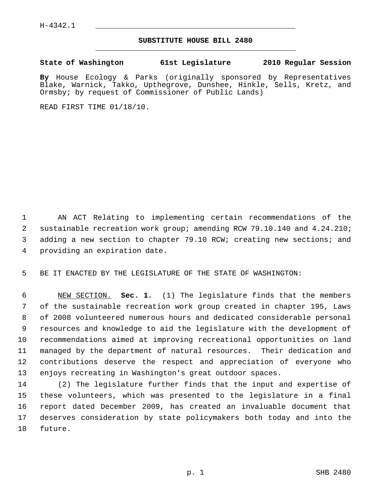## **SUBSTITUTE HOUSE BILL 2480** \_\_\_\_\_\_\_\_\_\_\_\_\_\_\_\_\_\_\_\_\_\_\_\_\_\_\_\_\_\_\_\_\_\_\_\_\_\_\_\_\_\_\_\_\_

## **State of Washington 61st Legislature 2010 Regular Session**

**By** House Ecology & Parks (originally sponsored by Representatives Blake, Warnick, Takko, Upthegrove, Dunshee, Hinkle, Sells, Kretz, and Ormsby; by request of Commissioner of Public Lands)

READ FIRST TIME 01/18/10.

 1 AN ACT Relating to implementing certain recommendations of the 2 sustainable recreation work group; amending RCW 79.10.140 and 4.24.210; 3 adding a new section to chapter 79.10 RCW; creating new sections; and 4 providing an expiration date.

5 BE IT ENACTED BY THE LEGISLATURE OF THE STATE OF WASHINGTON:

 6 NEW SECTION. **Sec. 1.** (1) The legislature finds that the members 7 of the sustainable recreation work group created in chapter 195, Laws 8 of 2008 volunteered numerous hours and dedicated considerable personal 9 resources and knowledge to aid the legislature with the development of 10 recommendations aimed at improving recreational opportunities on land 11 managed by the department of natural resources. Their dedication and 12 contributions deserve the respect and appreciation of everyone who 13 enjoys recreating in Washington's great outdoor spaces.

14 (2) The legislature further finds that the input and expertise of 15 these volunteers, which was presented to the legislature in a final 16 report dated December 2009, has created an invaluable document that 17 deserves consideration by state policymakers both today and into the 18 future.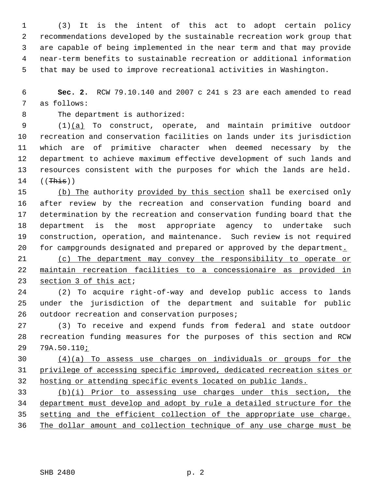1 (3) It is the intent of this act to adopt certain policy 2 recommendations developed by the sustainable recreation work group that 3 are capable of being implemented in the near term and that may provide 4 near-term benefits to sustainable recreation or additional information 5 that may be used to improve recreational activities in Washington.

 6 **Sec. 2.** RCW 79.10.140 and 2007 c 241 s 23 are each amended to read 7 as follows:

8 The department is authorized:

 9 (1)(a) To construct, operate, and maintain primitive outdoor 10 recreation and conservation facilities on lands under its jurisdiction 11 which are of primitive character when deemed necessary by the 12 department to achieve maximum effective development of such lands and 13 resources consistent with the purposes for which the lands are held.  $14$  ((This))

15 (b) The authority provided by this section shall be exercised only 16 after review by the recreation and conservation funding board and 17 determination by the recreation and conservation funding board that the 18 department is the most appropriate agency to undertake such 19 construction, operation, and maintenance. Such review is not required 20 for campgrounds designated and prepared or approved by the department.

21 (c) The department may convey the responsibility to operate or 22 maintain recreation facilities to a concessionaire as provided in 23 section 3 of this act;

24 (2) To acquire right-of-way and develop public access to lands 25 under the jurisdiction of the department and suitable for public 26 outdoor recreation and conservation purposes;

27 (3) To receive and expend funds from federal and state outdoor 28 recreation funding measures for the purposes of this section and RCW 29 79A.50.110;

30 (4)(a) To assess use charges on individuals or groups for the 31 privilege of accessing specific improved, dedicated recreation sites or 32 hosting or attending specific events located on public lands.

 (b)(i) Prior to assessing use charges under this section, the department must develop and adopt by rule a detailed structure for the setting and the efficient collection of the appropriate use charge. The dollar amount and collection technique of any use charge must be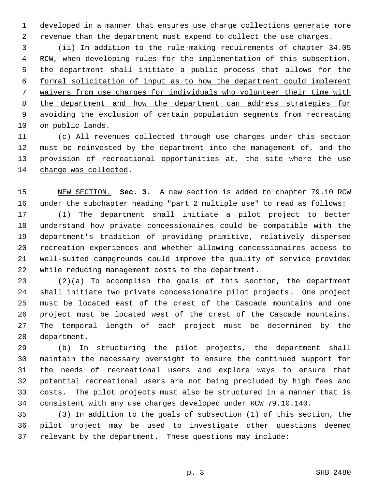1 developed in a manner that ensures use charge collections generate more

2 revenue than the department must expend to collect the use charges.

 (ii) In addition to the rule-making requirements of chapter 34.05 RCW, when developing rules for the implementation of this subsection, the department shall initiate a public process that allows for the formal solicitation of input as to how the department could implement waivers from use charges for individuals who volunteer their time with the department and how the department can address strategies for avoiding the exclusion of certain population segments from recreating on public lands.

 (c) All revenues collected through use charges under this section must be reinvested by the department into the management of, and the provision of recreational opportunities at, the site where the use charge was collected.

15 NEW SECTION. **Sec. 3.** A new section is added to chapter 79.10 RCW 16 under the subchapter heading "part 2 multiple use" to read as follows: 17 (1) The department shall initiate a pilot project to better 18 understand how private concessionaires could be compatible with the 19 department's tradition of providing primitive, relatively dispersed 20 recreation experiences and whether allowing concessionaires access to 21 well-suited campgrounds could improve the quality of service provided 22 while reducing management costs to the department.

23 (2)(a) To accomplish the goals of this section, the department 24 shall initiate two private concessionaire pilot projects. One project 25 must be located east of the crest of the Cascade mountains and one 26 project must be located west of the crest of the Cascade mountains. 27 The temporal length of each project must be determined by the 28 department.

29 (b) In structuring the pilot projects, the department shall 30 maintain the necessary oversight to ensure the continued support for 31 the needs of recreational users and explore ways to ensure that 32 potential recreational users are not being precluded by high fees and 33 costs. The pilot projects must also be structured in a manner that is 34 consistent with any use charges developed under RCW 79.10.140.

35 (3) In addition to the goals of subsection (1) of this section, the 36 pilot project may be used to investigate other questions deemed 37 relevant by the department. These questions may include: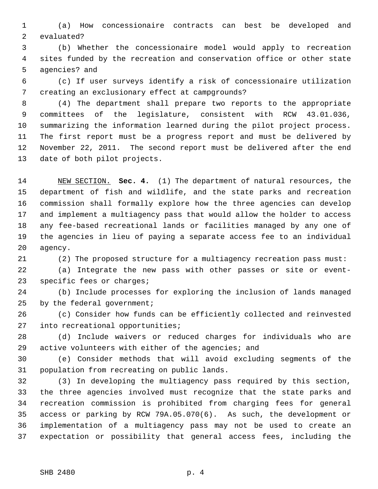1 (a) How concessionaire contracts can best be developed and 2 evaluated?

 3 (b) Whether the concessionaire model would apply to recreation 4 sites funded by the recreation and conservation office or other state 5 agencies? and

 6 (c) If user surveys identify a risk of concessionaire utilization 7 creating an exclusionary effect at campgrounds?

 8 (4) The department shall prepare two reports to the appropriate 9 committees of the legislature, consistent with RCW 43.01.036, 10 summarizing the information learned during the pilot project process. 11 The first report must be a progress report and must be delivered by 12 November 22, 2011. The second report must be delivered after the end 13 date of both pilot projects.

14 NEW SECTION. **Sec. 4.** (1) The department of natural resources, the 15 department of fish and wildlife, and the state parks and recreation 16 commission shall formally explore how the three agencies can develop 17 and implement a multiagency pass that would allow the holder to access 18 any fee-based recreational lands or facilities managed by any one of 19 the agencies in lieu of paying a separate access fee to an individual 20 agency.

21 (2) The proposed structure for a multiagency recreation pass must:

22 (a) Integrate the new pass with other passes or site or event-23 specific fees or charges;

24 (b) Include processes for exploring the inclusion of lands managed 25 by the federal government;

26 (c) Consider how funds can be efficiently collected and reinvested 27 into recreational opportunities;

28 (d) Include waivers or reduced charges for individuals who are 29 active volunteers with either of the agencies; and

30 (e) Consider methods that will avoid excluding segments of the 31 population from recreating on public lands.

32 (3) In developing the multiagency pass required by this section, 33 the three agencies involved must recognize that the state parks and 34 recreation commission is prohibited from charging fees for general 35 access or parking by RCW 79A.05.070(6). As such, the development or 36 implementation of a multiagency pass may not be used to create an 37 expectation or possibility that general access fees, including the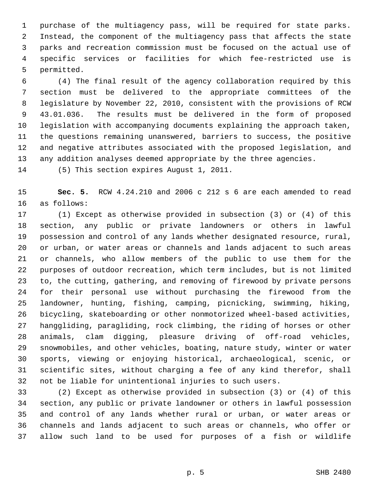1 purchase of the multiagency pass, will be required for state parks. 2 Instead, the component of the multiagency pass that affects the state 3 parks and recreation commission must be focused on the actual use of 4 specific services or facilities for which fee-restricted use is 5 permitted.

 6 (4) The final result of the agency collaboration required by this 7 section must be delivered to the appropriate committees of the 8 legislature by November 22, 2010, consistent with the provisions of RCW 9 43.01.036. The results must be delivered in the form of proposed 10 legislation with accompanying documents explaining the approach taken, 11 the questions remaining unanswered, barriers to success, the positive 12 and negative attributes associated with the proposed legislation, and 13 any addition analyses deemed appropriate by the three agencies.

14 (5) This section expires August 1, 2011.

15 **Sec. 5.** RCW 4.24.210 and 2006 c 212 s 6 are each amended to read 16 as follows:

17 (1) Except as otherwise provided in subsection (3) or (4) of this 18 section, any public or private landowners or others in lawful 19 possession and control of any lands whether designated resource, rural, 20 or urban, or water areas or channels and lands adjacent to such areas 21 or channels, who allow members of the public to use them for the 22 purposes of outdoor recreation, which term includes, but is not limited 23 to, the cutting, gathering, and removing of firewood by private persons 24 for their personal use without purchasing the firewood from the 25 landowner, hunting, fishing, camping, picnicking, swimming, hiking, 26 bicycling, skateboarding or other nonmotorized wheel-based activities, 27 hanggliding, paragliding, rock climbing, the riding of horses or other 28 animals, clam digging, pleasure driving of off-road vehicles, 29 snowmobiles, and other vehicles, boating, nature study, winter or water 30 sports, viewing or enjoying historical, archaeological, scenic, or 31 scientific sites, without charging a fee of any kind therefor, shall 32 not be liable for unintentional injuries to such users.

33 (2) Except as otherwise provided in subsection (3) or (4) of this 34 section, any public or private landowner or others in lawful possession 35 and control of any lands whether rural or urban, or water areas or 36 channels and lands adjacent to such areas or channels, who offer or 37 allow such land to be used for purposes of a fish or wildlife